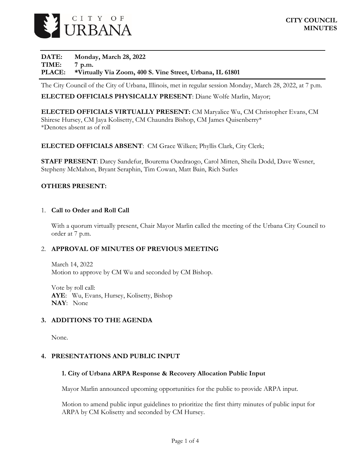

**DATE: Monday, March 28, 2022 TIME: 7 p.m. PLACE: \*Virtually Via Zoom, 400 S. Vine Street, Urbana, IL 61801**

The City Council of the City of Urbana, Illinois, met in regular session Monday, March 28, 2022, at 7 p.m.

#### **ELECTED OFFICIALS PHYSICALLY PRESENT**: Diane Wolfe Marlin, Mayor;

**ELECTED OFFICIALS VIRTUALLY PRESENT:** CM Maryalice Wu, CM Christopher Evans, CM Shirese Hursey, CM Jaya Kolisetty, CM Chaundra Bishop, CM James Quisenberry\* \*Denotes absent as of roll

#### **ELECTED OFFICIALS ABSENT**: CM Grace Wilken; Phyllis Clark, City Clerk;

**STAFF PRESENT**: Darcy Sandefur, Bourema Ouedraogo, Carol Mitten, Sheila Dodd, Dave Wesner, Stepheny McMahon, Bryant Seraphin, Tim Cowan, Matt Bain, Rich Surles

#### **OTHERS PRESENT:**

#### 1. **Call to Order and Roll Call**

With a quorum virtually present, Chair Mayor Marlin called the meeting of the Urbana City Council to order at 7 p.m.

#### 2. **APPROVAL OF MINUTES OF PREVIOUS MEETING**

March 14, 2022 Motion to approve by CM Wu and seconded by CM Bishop.

Vote by roll call: **AYE**: Wu, Evans, Hursey, Kolisetty, Bishop **NAY**: None

#### **3. ADDITIONS TO THE AGENDA**

None.

#### **4. PRESENTATIONS AND PUBLIC INPUT**

#### **1. City of Urbana ARPA Response & Recovery Allocation Public Input**

Mayor Marlin announced upcoming opportunities for the public to provide ARPA input.

Motion to amend public input guidelines to prioritize the first thirty minutes of public input for ARPA by CM Kolisetty and seconded by CM Hursey.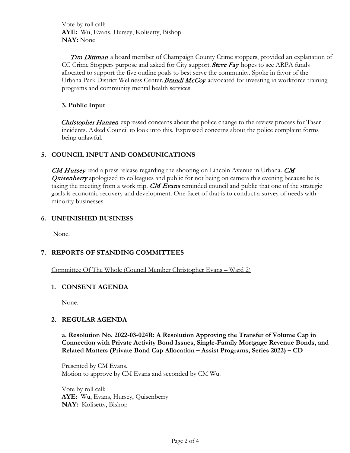Vote by roll call: **AYE:** Wu, Evans, Hursey, Kolisetty, Bishop **NAY:** None

Tim Dittman a board member of Champaign County Crime stoppers, provided an explanation of CC Crime Stoppers purpose and asked for City support. Steve Fay hopes to see ARPA funds allocated to support the five outline goals to best serve the community. Spoke in favor of the Urbana Park District Wellness Center. **Brandi McCoy** advocated for investing in workforce training programs and community mental health services.

## **3. Public Input**

Christopher Hansen expressed concerns about the police change to the review process for Taser incidents. Asked Council to look into this. Expressed concerns about the police complaint forms being unlawful.

# **5. COUNCIL INPUT AND COMMUNICATIONS**

CM Hursey read a press release regarding the shooting on Lincoln Avenue in Urbana. CM **Quisenberry** apologized to colleagues and public for not being on camera this evening because he is taking the meeting from a work trip. **CM Evans** reminded council and public that one of the strategic goals is economic recovery and development. One facet of that is to conduct a survey of needs with minority businesses.

#### **6. UNFINISHED BUSINESS**

None.

# **7. REPORTS OF STANDING COMMITTEES**

#### Committee Of The Whole (Council Member Christopher Evans – Ward 2)

#### **1. CONSENT AGENDA**

None.

#### **2. REGULAR AGENDA**

**a. Resolution No. 2022-03-024R: A Resolution Approving the Transfer of Volume Cap in Connection with Private Activity Bond Issues, Single-Family Mortgage Revenue Bonds, and Related Matters (Private Bond Cap Allocation – Assist Programs, Series 2022) – CD**

Presented by CM Evans. Motion to approve by CM Evans and seconded by CM Wu.

Vote by roll call: **AYE:** Wu, Evans, Hursey, Quisenberry **NAY:** Kolisetty, Bishop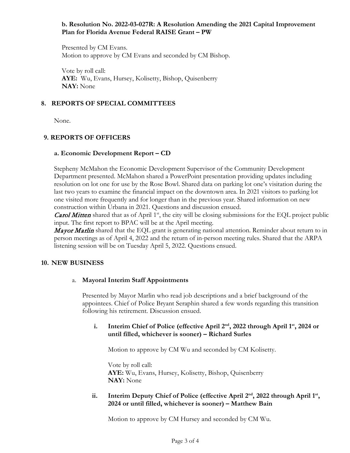## **b. Resolution No. 2022-03-027R: A Resolution Amending the 2021 Capital Improvement Plan for Florida Avenue Federal RAISE Grant – PW**

Presented by CM Evans. Motion to approve by CM Evans and seconded by CM Bishop.

Vote by roll call: **AYE:** Wu, Evans, Hursey, Kolisetty, Bishop, Quisenberry **NAY:** None

## **8. REPORTS OF SPECIAL COMMITTEES**

None.

# **9. REPORTS OF OFFICERS**

## **a. Economic Development Report – CD**

Stepheny McMahon the Economic Development Supervisor of the Community Development Department presented. McMahon shared a PowerPoint presentation providing updates including resolution on lot one for use by the Rose Bowl. Shared data on parking lot one's visitation during the last two years to examine the financial impact on the downtown area. In 2021 visitors to parking lot one visited more frequently and for longer than in the previous year. Shared information on new construction within Urbana in 2021. Questions and discussion ensued.

**Carol Mitten** shared that as of April  $1<sup>st</sup>$ , the city will be closing submissions for the EQL project public input. The first report to BPAC will be at the April meeting.

Mayor Marlin shared that the EQL grant is generating national attention. Reminder about return to in person meetings as of April 4, 2022 and the return of in-person meeting rules. Shared that the ARPA listening session will be on Tuesday April 5, 2022. Questions ensued.

#### **10. NEW BUSINESS**

#### a. **Mayoral Interim Staff Appointments**

Presented by Mayor Marlin who read job descriptions and a brief background of the appointees. Chief of Police Bryant Seraphin shared a few words regarding this transition following his retirement. Discussion ensued.

#### **i. Interim Chief of Police (effective April 2nd, 2022 through April 1st, 2024 or until filled, whichever is sooner) – Richard Surles**

Motion to approve by CM Wu and seconded by CM Kolisetty.

Vote by roll call: **AYE:** Wu, Evans, Hursey, Kolisetty, Bishop, Quisenberry **NAY:** None

## ii. **Interim Deputy Chief of Police (effective April 2<sup>nd</sup>, 2022 through April 1<sup>st</sup>, 2024 or until filled, whichever is sooner) – Matthew Bain**

Motion to approve by CM Hursey and seconded by CM Wu.